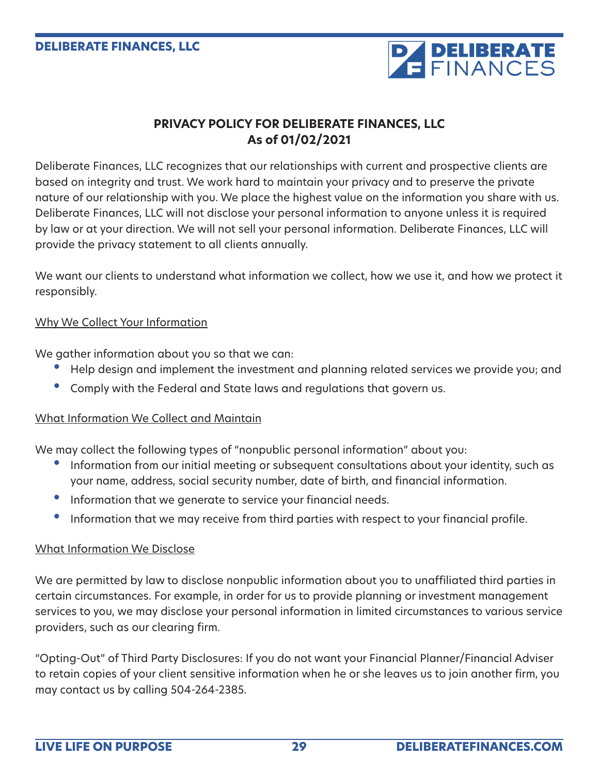

# **PRIVACY POLICY FOR DELIBERATE FINANCES, LLC As of 01/02/2021**

Deliberate Finances, LLC recognizes that our relationships with current and prospective clients are based on integrity and trust. We work hard to maintain your privacy and to preserve the private nature of our relationship with you. We place the highest value on the information you share with us. Deliberate Finances, LLC will not disclose your personal information to anyone unless it is required by law or at your direction. We will not sell your personal information. Deliberate Finances, LLC will provide the privacy statement to all clients annually.

We want our clients to understand what information we collect, how we use it, and how we protect it responsibly.

## Why We Collect Your Information

We gather information about you so that we can:

- Help design and implement the investment and planning related services we provide you; and
- Comply with the Federal and State laws and regulations that govern us.

## What Information We Collect and Maintain

We may collect the following types of "nonpublic personal information" about you:

- Information from our initial meeting or subsequent consultations about your identity, such as your name, address, social security number, date of birth, and financial information.
- Information that we generate to service your financial needs.
- Information that we may receive from third parties with respect to your financial profile.

## What Information We Disclose

We are permitted by law to disclose nonpublic information about you to unaffiliated third parties in certain circumstances. For example, in order for us to provide planning or investment management services to you, we may disclose your personal information in limited circumstances to various service providers, such as our clearing firm.

"Opting-Out" of Third Party Disclosures: If you do not want your Financial Planner/Financial Adviser to retain copies of your client sensitive information when he or she leaves us to join another firm, you may contact us by calling 504-264-2385.